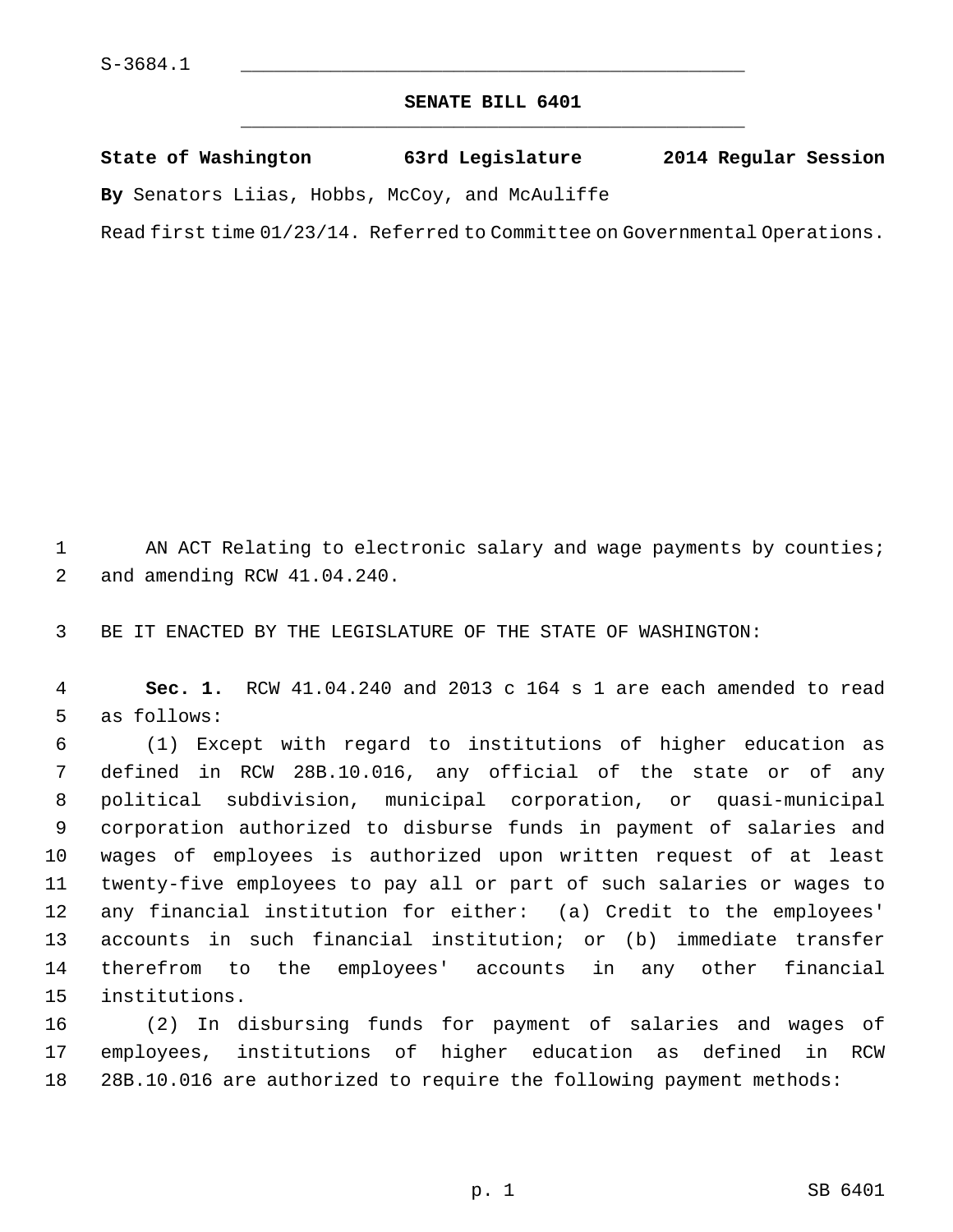## **SENATE BILL 6401** \_\_\_\_\_\_\_\_\_\_\_\_\_\_\_\_\_\_\_\_\_\_\_\_\_\_\_\_\_\_\_\_\_\_\_\_\_\_\_\_\_\_\_\_\_

|  | State of Washington | 63rd Legislature | 2014 Regular Session |  |
|--|---------------------|------------------|----------------------|--|
|  |                     |                  |                      |  |

**By** Senators Liias, Hobbs, McCoy, and McAuliffe

Read first time 01/23/14. Referred to Committee on Governmental Operations.

1 AN ACT Relating to electronic salary and wage payments by counties; 2 and amending RCW 41.04.240.

3 BE IT ENACTED BY THE LEGISLATURE OF THE STATE OF WASHINGTON:

 4 **Sec. 1.** RCW 41.04.240 and 2013 c 164 s 1 are each amended to read 5 as follows:

 6 (1) Except with regard to institutions of higher education as 7 defined in RCW 28B.10.016, any official of the state or of any 8 political subdivision, municipal corporation, or quasi-municipal 9 corporation authorized to disburse funds in payment of salaries and 10 wages of employees is authorized upon written request of at least 11 twenty-five employees to pay all or part of such salaries or wages to 12 any financial institution for either: (a) Credit to the employees' 13 accounts in such financial institution; or (b) immediate transfer 14 therefrom to the employees' accounts in any other financial 15 institutions.

16 (2) In disbursing funds for payment of salaries and wages of 17 employees, institutions of higher education as defined in RCW 18 28B.10.016 are authorized to require the following payment methods: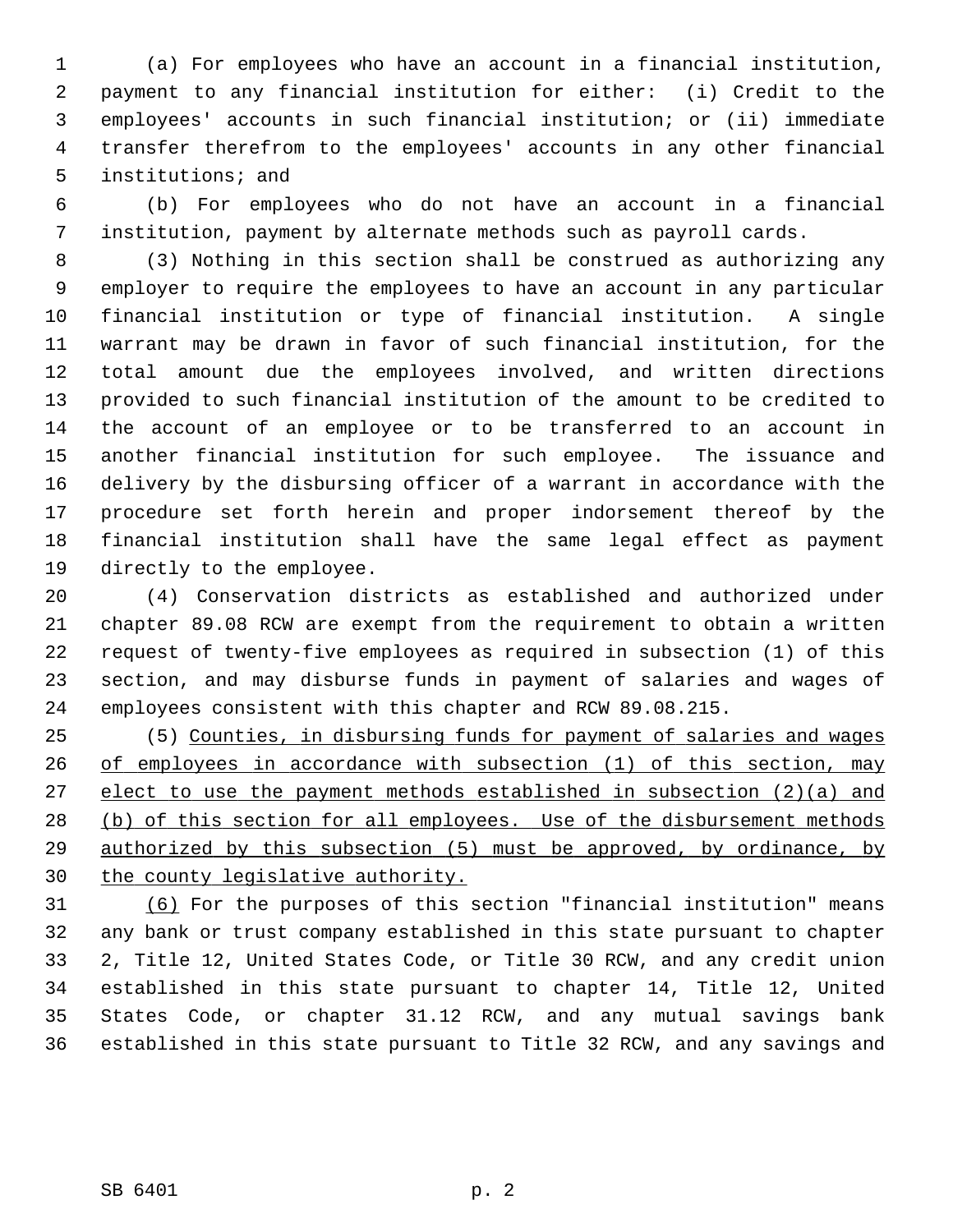1 (a) For employees who have an account in a financial institution, 2 payment to any financial institution for either: (i) Credit to the 3 employees' accounts in such financial institution; or (ii) immediate 4 transfer therefrom to the employees' accounts in any other financial 5 institutions; and

 6 (b) For employees who do not have an account in a financial 7 institution, payment by alternate methods such as payroll cards.

 8 (3) Nothing in this section shall be construed as authorizing any 9 employer to require the employees to have an account in any particular 10 financial institution or type of financial institution. A single 11 warrant may be drawn in favor of such financial institution, for the 12 total amount due the employees involved, and written directions 13 provided to such financial institution of the amount to be credited to 14 the account of an employee or to be transferred to an account in 15 another financial institution for such employee. The issuance and 16 delivery by the disbursing officer of a warrant in accordance with the 17 procedure set forth herein and proper indorsement thereof by the 18 financial institution shall have the same legal effect as payment 19 directly to the employee.

20 (4) Conservation districts as established and authorized under 21 chapter 89.08 RCW are exempt from the requirement to obtain a written 22 request of twenty-five employees as required in subsection (1) of this 23 section, and may disburse funds in payment of salaries and wages of 24 employees consistent with this chapter and RCW 89.08.215.

25 (5) Counties, in disbursing funds for payment of salaries and wages of employees in accordance with subsection (1) of this section, may elect to use the payment methods established in subsection (2)(a) and 28 (b) of this section for all employees. Use of the disbursement methods authorized by this subsection (5) must be approved, by ordinance, by the county legislative authority.

31 (6) For the purposes of this section "financial institution" means 32 any bank or trust company established in this state pursuant to chapter 33 2, Title 12, United States Code, or Title 30 RCW, and any credit union 34 established in this state pursuant to chapter 14, Title 12, United 35 States Code, or chapter 31.12 RCW, and any mutual savings bank 36 established in this state pursuant to Title 32 RCW, and any savings and